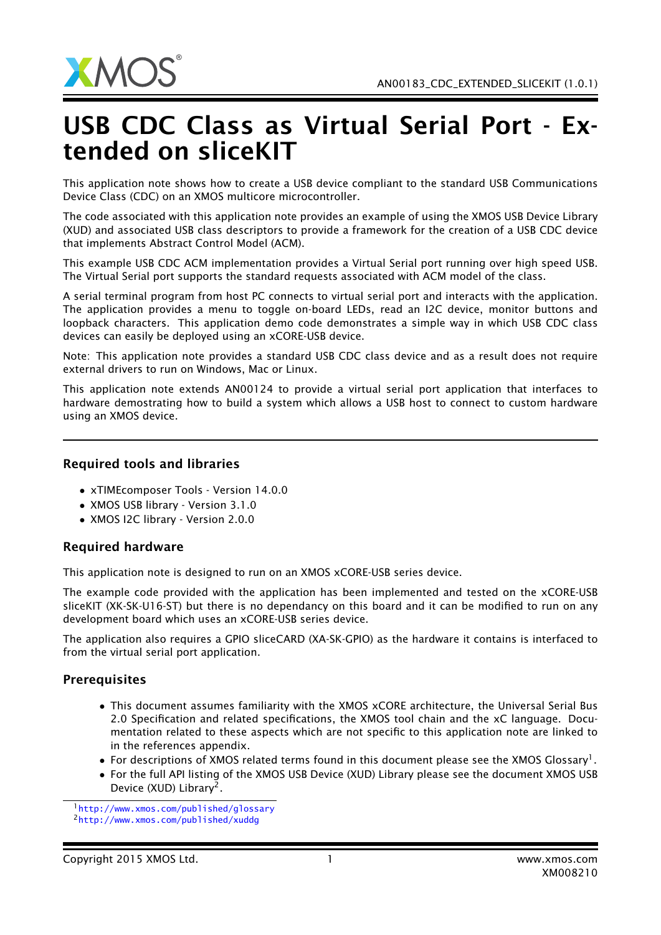

## USB CDC Class as Virtual Serial Port - Extended on sliceKIT

This application note shows how to create a USB device compliant to the standard USB Communications Device Class (CDC) on an XMOS multicore microcontroller.

The code associated with this application note provides an example of using the XMOS USB Device Library (XUD) and associated USB class descriptors to provide a framework for the creation of a USB CDC device that implements Abstract Control Model (ACM).

This example USB CDC ACM implementation provides a Virtual Serial port running over high speed USB. The Virtual Serial port supports the standard requests associated with ACM model of the class.

A serial terminal program from host PC connects to virtual serial port and interacts with the application. The application provides a menu to toggle on-board LEDs, read an I2C device, monitor buttons and loopback characters. This application demo code demonstrates a simple way in which USB CDC class devices can easily be deployed using an xCORE-USB device.

Note: This application note provides a standard USB CDC class device and as a result does not require external drivers to run on Windows, Mac or Linux.

This application note extends AN00124 to provide a virtual serial port application that interfaces to hardware demostrating how to build a system which allows a USB host to connect to custom hardware using an XMOS device.

## Required tools and libraries

- xTIMEcomposer Tools Version 14.0.0
- XMOS USB library Version 3.1.0
- XMOS I2C library Version 2.0.0

## Required hardware

This application note is designed to run on an XMOS xCORE-USB series device.

The example code provided with the application has been implemented and tested on the xCORE-USB sliceKIT (XK-SK-U16-ST) but there is no dependancy on this board and it can be modified to run on any development board which uses an xCORE-USB series device.

The application also requires a GPIO sliceCARD (XA-SK-GPIO) as the hardware it contains is interfaced to from the virtual serial port application.

## **Prerequisites**

- This document assumes familiarity with the XMOS xCORE architecture, the Universal Serial Bus 2.0 Specification and related specifications, the XMOS tool chain and the xC language. Documentation related to these aspects which are not specific to this application note are linked to in the references appendix.
- $\bullet$  For descriptions of XMOS related terms found in this document please see the XMOS Glossary<sup>1</sup>.
- For the full API listing of the XMOS USB Device (XUD) Library please see the document XMOS USB Device (XUD) Library<sup>2</sup>.

<sup>1</sup><http://www.xmos.com/published/glossary>

<sup>2</sup><http://www.xmos.com/published/xuddg>